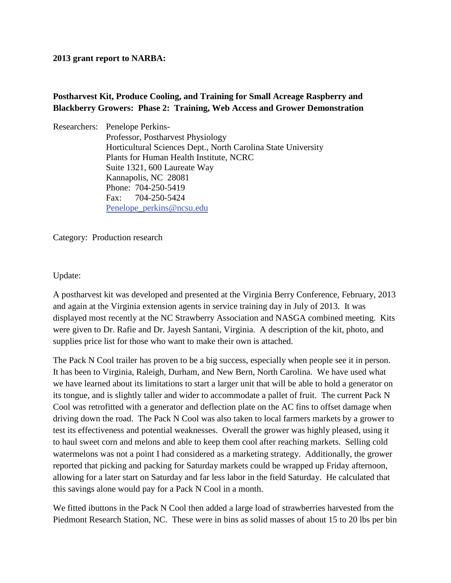# **2013 grant report to NARBA:**

# **Postharvest Kit, Produce Cooling, and Training for Small Acreage Raspberry and Blackberry Growers: Phase 2: Training, Web Access and Grower Demonstration**

Researchers: Penelope Perkins- Professor, Postharvest Physiology Horticultural Sciences Dept., North Carolina State University Plants for Human Health Institute, NCRC Suite 1321, 600 Laureate Way Kannapolis, NC 28081 Phone: 704-250-5419 Fax: 704-250-5424 [Penelope\\_perkins@ncsu.edu](mailto:Penelope_perkins@ncsu.edu)

Category: Production research

Update:

A postharvest kit was developed and presented at the Virginia Berry Conference, February, 2013 and again at the Virginia extension agents in service training day in July of 2013. It was displayed most recently at the NC Strawberry Association and NASGA combined meeting. Kits were given to Dr. Rafie and Dr. Jayesh Santani, Virginia. A description of the kit, photo, and supplies price list for those who want to make their own is attached.

The Pack N Cool trailer has proven to be a big success, especially when people see it in person. It has been to Virginia, Raleigh, Durham, and New Bern, North Carolina. We have used what we have learned about its limitations to start a larger unit that will be able to hold a generator on its tongue, and is slightly taller and wider to accommodate a pallet of fruit. The current Pack N Cool was retrofitted with a generator and deflection plate on the AC fins to offset damage when driving down the road. The Pack N Cool was also taken to local farmers markets by a grower to test its effectiveness and potential weaknesses. Overall the grower was highly pleased, using it to haul sweet corn and melons and able to keep them cool after reaching markets. Selling cold watermelons was not a point I had considered as a marketing strategy. Additionally, the grower reported that picking and packing for Saturday markets could be wrapped up Friday afternoon, allowing for a later start on Saturday and far less labor in the field Saturday. He calculated that this savings alone would pay for a Pack N Cool in a month.

We fitted ibuttons in the Pack N Cool then added a large load of strawberries harvested from the Piedmont Research Station, NC. These were in bins as solid masses of about 15 to 20 lbs per bin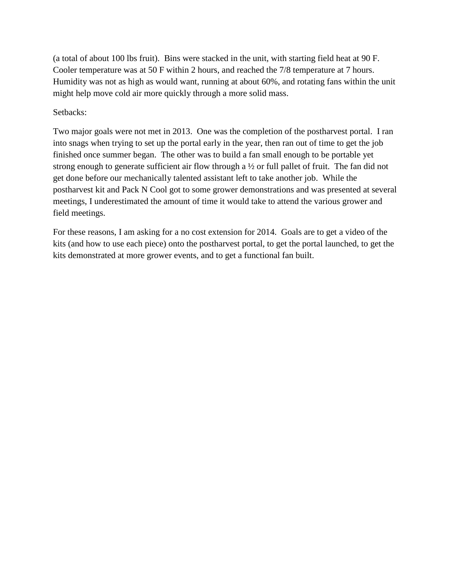(a total of about 100 lbs fruit). Bins were stacked in the unit, with starting field heat at 90 F. Cooler temperature was at 50 F within 2 hours, and reached the 7/8 temperature at 7 hours. Humidity was not as high as would want, running at about 60%, and rotating fans within the unit might help move cold air more quickly through a more solid mass.

Setbacks:

Two major goals were not met in 2013. One was the completion of the postharvest portal. I ran into snags when trying to set up the portal early in the year, then ran out of time to get the job finished once summer began. The other was to build a fan small enough to be portable yet strong enough to generate sufficient air flow through a ½ or full pallet of fruit. The fan did not get done before our mechanically talented assistant left to take another job. While the postharvest kit and Pack N Cool got to some grower demonstrations and was presented at several meetings, I underestimated the amount of time it would take to attend the various grower and field meetings.

For these reasons, I am asking for a no cost extension for 2014. Goals are to get a video of the kits (and how to use each piece) onto the postharvest portal, to get the portal launched, to get the kits demonstrated at more grower events, and to get a functional fan built.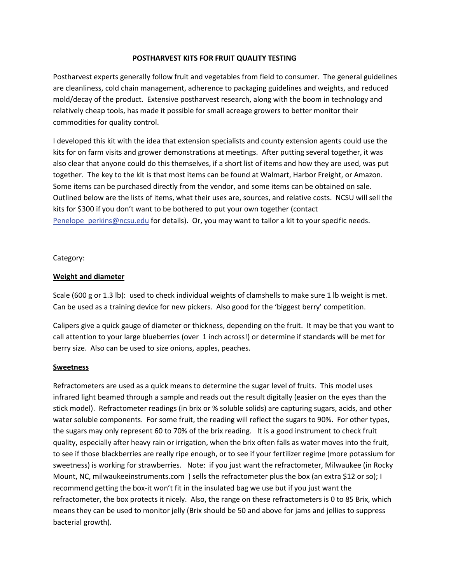#### **POSTHARVEST KITS FOR FRUIT QUALITY TESTING**

Postharvest experts generally follow fruit and vegetables from field to consumer. The general guidelines are cleanliness, cold chain management, adherence to packaging guidelines and weights, and reduced mold/decay of the product. Extensive postharvest research, along with the boom in technology and relatively cheap tools, has made it possible for small acreage growers to better monitor their commodities for quality control.

I developed this kit with the idea that extension specialists and county extension agents could use the kits for on farm visits and grower demonstrations at meetings. After putting several together, it was also clear that anyone could do this themselves, if a short list of items and how they are used, was put together. The key to the kit is that most items can be found at Walmart, Harbor Freight, or Amazon. Some items can be purchased directly from the vendor, and some items can be obtained on sale. Outlined below are the lists of items, what their uses are, sources, and relative costs. NCSU will sell the kits for \$300 if you don't want to be bothered to put your own together (contact Penelope perkins@ncsu.edu for details). Or, you may want to tailor a kit to your specific needs.

Category:

### **Weight and diameter**

Scale (600 g or 1.3 lb): used to check individual weights of clamshells to make sure 1 lb weight is met. Can be used as a training device for new pickers. Also good for the 'biggest berry' competition.

Calipers give a quick gauge of diameter or thickness, depending on the fruit. It may be that you want to call attention to your large blueberries (over 1 inch across!) or determine if standards will be met for berry size. Also can be used to size onions, apples, peaches.

#### **Sweetness**

Refractometers are used as a quick means to determine the sugar level of fruits. This model uses infrared light beamed through a sample and reads out the result digitally (easier on the eyes than the stick model). Refractometer readings (in brix or % soluble solids) are capturing sugars, acids, and other water soluble components. For some fruit, the reading will reflect the sugars to 90%. For other types, the sugars may only represent 60 to 70% of the brix reading. It is a good instrument to check fruit quality, especially after heavy rain or irrigation, when the brix often falls as water moves into the fruit, to see if those blackberries are really ripe enough, or to see if your fertilizer regime (more potassium for sweetness) is working for strawberries. Note: if you just want the refractometer, Milwaukee (in Rocky Mount, NC, milwaukeeinstruments.com ) sells the refractometer plus the box (an extra \$12 or so); I recommend getting the box-it won't fit in the insulated bag we use but if you just want the refractometer, the box protects it nicely. Also, the range on these refractometers is 0 to 85 Brix, which means they can be used to monitor jelly (Brix should be 50 and above for jams and jellies to suppress bacterial growth).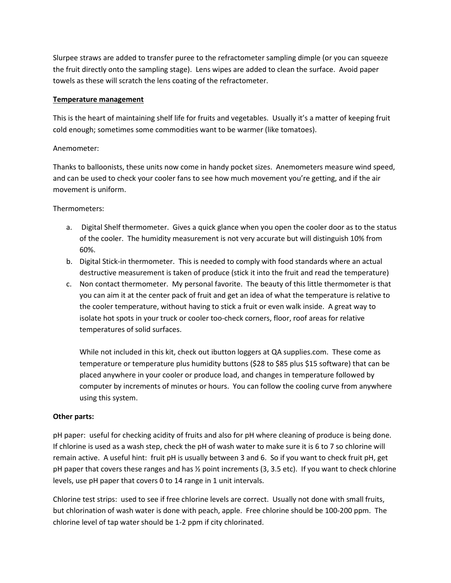Slurpee straws are added to transfer puree to the refractometer sampling dimple (or you can squeeze the fruit directly onto the sampling stage). Lens wipes are added to clean the surface. Avoid paper towels as these will scratch the lens coating of the refractometer.

### **Temperature management**

This is the heart of maintaining shelf life for fruits and vegetables. Usually it's a matter of keeping fruit cold enough; sometimes some commodities want to be warmer (like tomatoes).

### Anemometer:

Thanks to balloonists, these units now come in handy pocket sizes. Anemometers measure wind speed, and can be used to check your cooler fans to see how much movement you're getting, and if the air movement is uniform.

### Thermometers:

- a. Digital Shelf thermometer. Gives a quick glance when you open the cooler door as to the status of the cooler. The humidity measurement is not very accurate but will distinguish 10% from 60%.
- b. Digital Stick-in thermometer. This is needed to comply with food standards where an actual destructive measurement is taken of produce (stick it into the fruit and read the temperature)
- c. Non contact thermometer. My personal favorite. The beauty of this little thermometer is that you can aim it at the center pack of fruit and get an idea of what the temperature is relative to the cooler temperature, without having to stick a fruit or even walk inside. A great way to isolate hot spots in your truck or cooler too-check corners, floor, roof areas for relative temperatures of solid surfaces.

While not included in this kit, check out ibutton loggers at QA supplies.com. These come as temperature or temperature plus humidity buttons (\$28 to \$85 plus \$15 software) that can be placed anywhere in your cooler or produce load, and changes in temperature followed by computer by increments of minutes or hours. You can follow the cooling curve from anywhere using this system.

### **Other parts:**

pH paper: useful for checking acidity of fruits and also for pH where cleaning of produce is being done. If chlorine is used as a wash step, check the pH of wash water to make sure it is 6 to 7 so chlorine will remain active. A useful hint: fruit pH is usually between 3 and 6. So if you want to check fruit pH, get pH paper that covers these ranges and has ½ point increments (3, 3.5 etc). If you want to check chlorine levels, use pH paper that covers 0 to 14 range in 1 unit intervals.

Chlorine test strips: used to see if free chlorine levels are correct. Usually not done with small fruits, but chlorination of wash water is done with peach, apple. Free chlorine should be 100-200 ppm. The chlorine level of tap water should be 1-2 ppm if city chlorinated.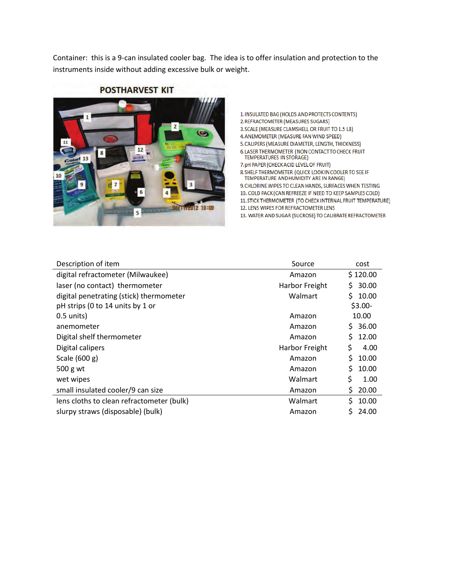Container: this is a 9-can insulated cooler bag. The idea is to offer insulation and protection to the instruments inside without adding excessive bulk or weight.



# **POSTHARVEST KIT**

1. INSULATED BAG (HOLDS AND PROTECTS CONTENTS) 2. REFRACTOMETER (MEASURES SUGARS)

3. SCALE (MEASURE CLAMSHELL OR FRUIT TO 1.5 LB)

- 4. ANEMOMETER (MEASURE FAN WIND SPEED)
- 5. CALIPERS (MEASURE DIAMETER, LENGTH, THICKNESS)
- 6. LASER THERMOMETER (NON CONTACT TO CHECK FRUIT **TEMPERATURES IN STORAGE)**
- 7. pH PAPER (CHECK ACID LEVEL OF FRUIT)
- 8. SHELF THERMOMETER (QUICK LOOK IN COOLER TO SEE IF TEMPERATURE AND HUMIDITY ARE IN RANGE)
- 9. CHLORINE WIPES TO CLEAN HANDS, SURFACES WHEN TESTING 10. COLD PACK (CAN REFREEZE IF NEED TO KEEP SAMPLES COLD)
- 11. STICK THERMOMETER (TO CHECK INTERNAL FRUIT TEMPERATURE)
- 12. LENS WIPES FOR REFRACTOMETER LENS
- 13. WATER AND SUGAR (SUCROSE) TO CALIBRATE REFRACTOMETER

| Description of item                       | Source         | cost         |
|-------------------------------------------|----------------|--------------|
| digital refractometer (Milwaukee)         | Amazon         | \$120.00     |
| laser (no contact) thermometer            | Harbor Freight | \$30.00      |
| digital penetrating (stick) thermometer   | Walmart        | \$10.00      |
| pH strips (0 to 14 units by 1 or          |                | $$3.00-$     |
| $0.5$ units)                              | Amazon         | 10.00        |
| anemometer                                | Amazon         | \$36.00      |
| Digital shelf thermometer                 | Amazon         | \$12.00      |
| Digital calipers                          | Harbor Freight | \$<br>4.00   |
| Scale (600 g)                             | Amazon         | Ś.<br>10.00  |
| 500 g wt                                  | Amazon         | \$.<br>10.00 |
| wet wipes                                 | Walmart        | \$<br>1.00   |
| small insulated cooler/9 can size         | Amazon         | \$.<br>20.00 |
| lens cloths to clean refractometer (bulk) | Walmart        | \$10.00      |
| slurpy straws (disposable) (bulk)         | Amazon         | S.<br>24.00  |